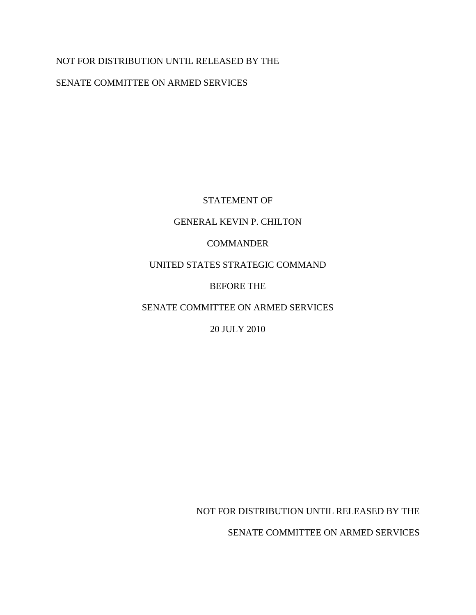# NOT FOR DISTRIBUTION UNTIL RELEASED BY THE

# SENATE COMMITTEE ON ARMED SERVICES

# STATEMENT OF

## GENERAL KEVIN P. CHILTON

# COMMANDER

# UNITED STATES STRATEGIC COMMAND

# BEFORE THE

# SENATE COMMITTEE ON ARMED SERVICES

# 20 JULY 2010

NOT FOR DISTRIBUTION UNTIL RELEASED BY THE

SENATE COMMITTEE ON ARMED SERVICES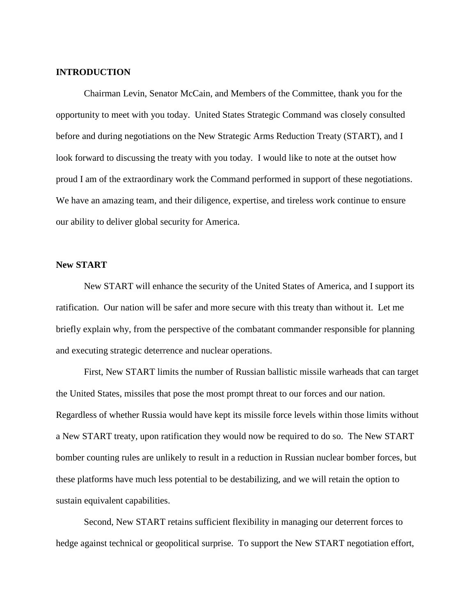#### **INTRODUCTION**

Chairman Levin, Senator McCain, and Members of the Committee, thank you for the opportunity to meet with you today. United States Strategic Command was closely consulted before and during negotiations on the New Strategic Arms Reduction Treaty (START), and I look forward to discussing the treaty with you today. I would like to note at the outset how proud I am of the extraordinary work the Command performed in support of these negotiations. We have an amazing team, and their diligence, expertise, and tireless work continue to ensure our ability to deliver global security for America.

### **New START**

New START will enhance the security of the United States of America, and I support its ratification. Our nation will be safer and more secure with this treaty than without it. Let me briefly explain why, from the perspective of the combatant commander responsible for planning and executing strategic deterrence and nuclear operations.

First, New START limits the number of Russian ballistic missile warheads that can target the United States, missiles that pose the most prompt threat to our forces and our nation. Regardless of whether Russia would have kept its missile force levels within those limits without a New START treaty, upon ratification they would now be required to do so. The New START bomber counting rules are unlikely to result in a reduction in Russian nuclear bomber forces, but these platforms have much less potential to be destabilizing, and we will retain the option to sustain equivalent capabilities.

Second, New START retains sufficient flexibility in managing our deterrent forces to hedge against technical or geopolitical surprise. To support the New START negotiation effort,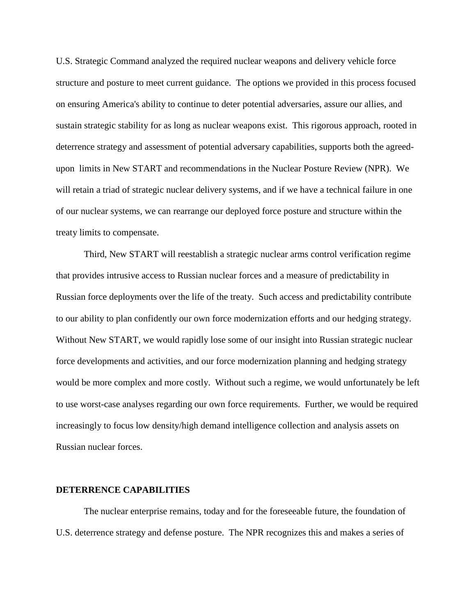U.S. Strategic Command analyzed the required nuclear weapons and delivery vehicle force structure and posture to meet current guidance. The options we provided in this process focused on ensuring America's ability to continue to deter potential adversaries, assure our allies, and sustain strategic stability for as long as nuclear weapons exist. This rigorous approach, rooted in deterrence strategy and assessment of potential adversary capabilities, supports both the agreedupon limits in New START and recommendations in the Nuclear Posture Review (NPR). We will retain a triad of strategic nuclear delivery systems, and if we have a technical failure in one of our nuclear systems, we can rearrange our deployed force posture and structure within the treaty limits to compensate.

Third, New START will reestablish a strategic nuclear arms control verification regime that provides intrusive access to Russian nuclear forces and a measure of predictability in Russian force deployments over the life of the treaty. Such access and predictability contribute to our ability to plan confidently our own force modernization efforts and our hedging strategy. Without New START, we would rapidly lose some of our insight into Russian strategic nuclear force developments and activities, and our force modernization planning and hedging strategy would be more complex and more costly. Without such a regime, we would unfortunately be left to use worst-case analyses regarding our own force requirements. Further, we would be required increasingly to focus low density/high demand intelligence collection and analysis assets on Russian nuclear forces.

#### **DETERRENCE CAPABILITIES**

The nuclear enterprise remains, today and for the foreseeable future, the foundation of U.S. deterrence strategy and defense posture. The NPR recognizes this and makes a series of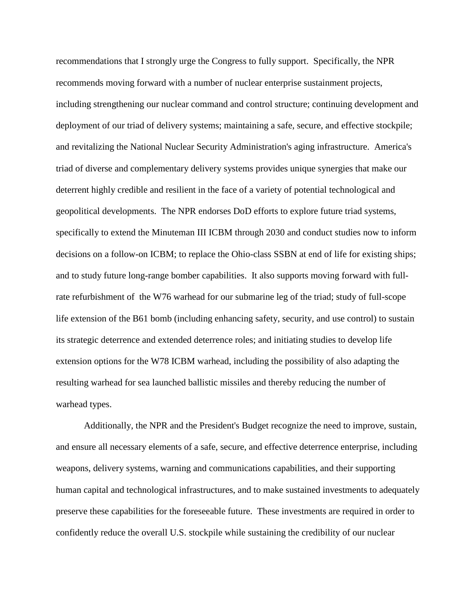recommendations that I strongly urge the Congress to fully support. Specifically, the NPR recommends moving forward with a number of nuclear enterprise sustainment projects, including strengthening our nuclear command and control structure; continuing development and deployment of our triad of delivery systems; maintaining a safe, secure, and effective stockpile; and revitalizing the National Nuclear Security Administration's aging infrastructure. America's triad of diverse and complementary delivery systems provides unique synergies that make our deterrent highly credible and resilient in the face of a variety of potential technological and geopolitical developments. The NPR endorses DoD efforts to explore future triad systems, specifically to extend the Minuteman III ICBM through 2030 and conduct studies now to inform decisions on a follow-on ICBM; to replace the Ohio-class SSBN at end of life for existing ships; and to study future long-range bomber capabilities. It also supports moving forward with fullrate refurbishment of the W76 warhead for our submarine leg of the triad; study of full-scope life extension of the B61 bomb (including enhancing safety, security, and use control) to sustain its strategic deterrence and extended deterrence roles; and initiating studies to develop life extension options for the W78 ICBM warhead, including the possibility of also adapting the resulting warhead for sea launched ballistic missiles and thereby reducing the number of warhead types.

Additionally, the NPR and the President's Budget recognize the need to improve, sustain, and ensure all necessary elements of a safe, secure, and effective deterrence enterprise, including weapons, delivery systems, warning and communications capabilities, and their supporting human capital and technological infrastructures, and to make sustained investments to adequately preserve these capabilities for the foreseeable future. These investments are required in order to confidently reduce the overall U.S. stockpile while sustaining the credibility of our nuclear